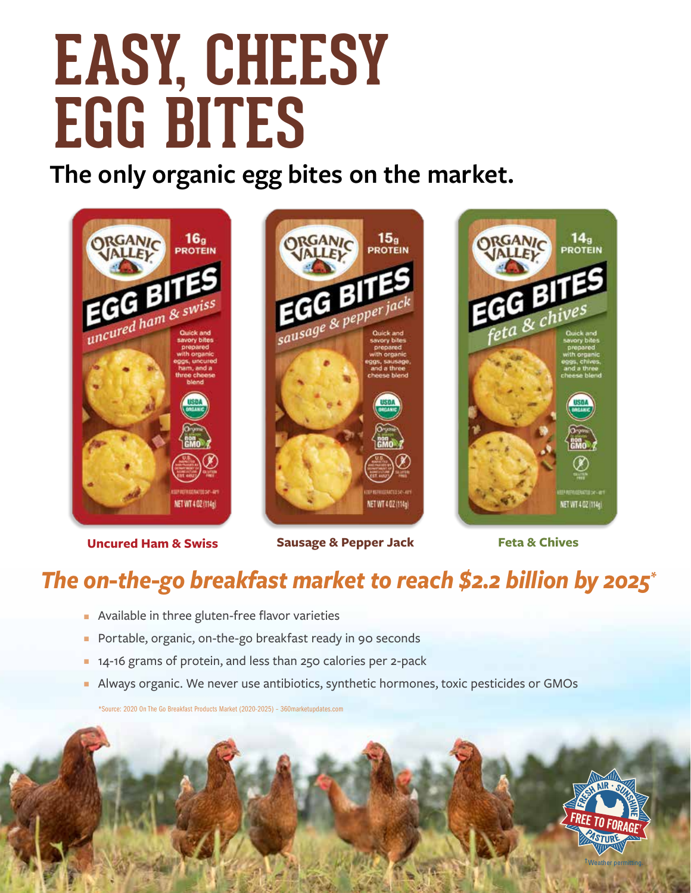# **EASY, CHEESY EGG BITES**

**The only organic egg bites on the market.**









**Uncured Ham & Swiss Sausage & Pepper Jack Feta & Chives** 

### *The on-the-go breakfast market to reach \$2.2 billion by 2025\**

- **•** Available in three gluten-free flavor varieties
- Portable, organic, on-the-go breakfast ready in 90 seconds
- **n** 14-16 grams of protein, and less than 250 calories per 2-pack
- <sup>n</sup> Always organic. We never use antibiotics, synthetic hormones, toxic pesticides or GMOs

\*Source: 2020 On The Go Breakfast Products Market (2020-2025) – 360marketupdates.com